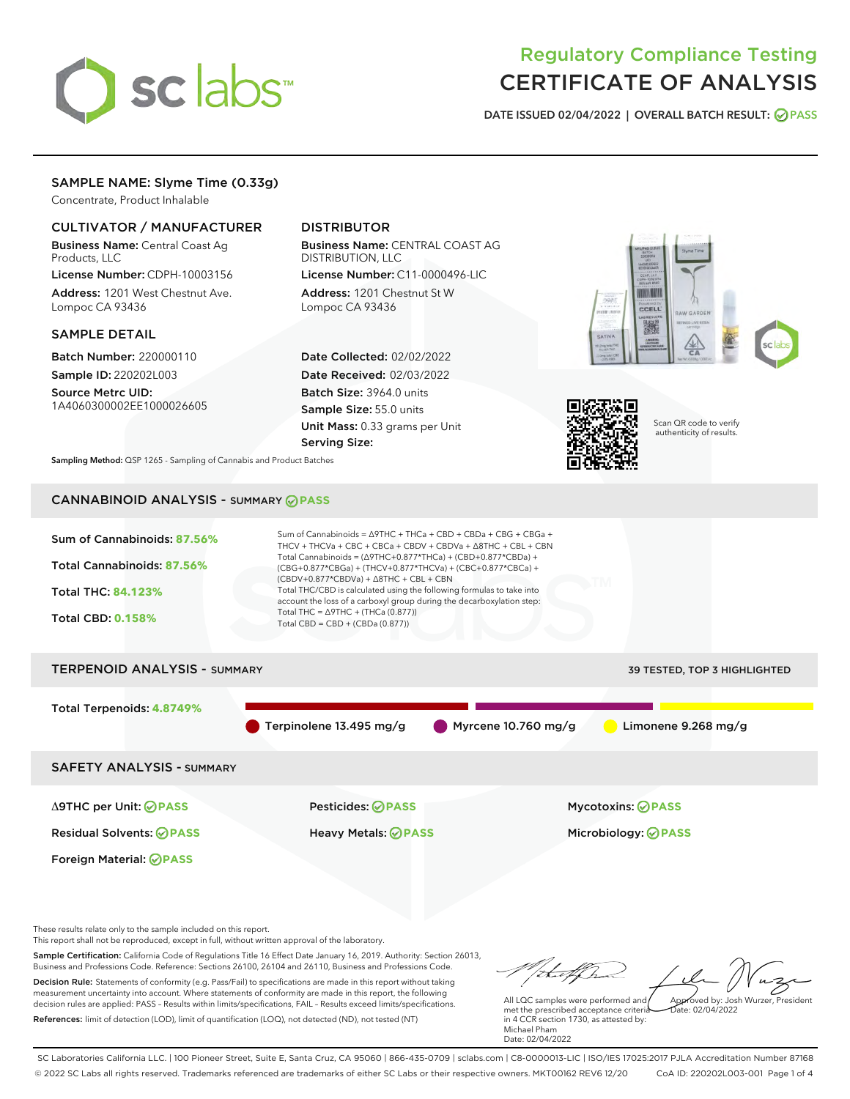# sclabs<sup>\*</sup>

# Regulatory Compliance Testing CERTIFICATE OF ANALYSIS

DATE ISSUED 02/04/2022 | OVERALL BATCH RESULT: @ PASS

#### SAMPLE NAME: Slyme Time (0.33g)

Concentrate, Product Inhalable

#### CULTIVATOR / MANUFACTURER

Business Name: Central Coast Ag Products, LLC

License Number: CDPH-10003156 Address: 1201 West Chestnut Ave. Lompoc CA 93436

#### SAMPLE DETAIL

Batch Number: 220000110 Sample ID: 220202L003

Source Metrc UID: 1A4060300002EE1000026605

### DISTRIBUTOR

Business Name: CENTRAL COAST AG DISTRIBUTION, LLC License Number: C11-0000496-LIC

Address: 1201 Chestnut St W Lompoc CA 93436

Date Collected: 02/02/2022 Date Received: 02/03/2022 Batch Size: 3964.0 units Sample Size: 55.0 units Unit Mass: 0.33 grams per Unit Serving Size:





Scan QR code to verify authenticity of results.

Sampling Method: QSP 1265 - Sampling of Cannabis and Product Batches

## CANNABINOID ANALYSIS - SUMMARY **PASS**



These results relate only to the sample included on this report.

This report shall not be reproduced, except in full, without written approval of the laboratory.

Sample Certification: California Code of Regulations Title 16 Effect Date January 16, 2019. Authority: Section 26013, Business and Professions Code. Reference: Sections 26100, 26104 and 26110, Business and Professions Code. Decision Rule: Statements of conformity (e.g. Pass/Fail) to specifications are made in this report without taking measurement uncertainty into account. Where statements of conformity are made in this report, the following decision rules are applied: PASS – Results within limits/specifications, FAIL – Results exceed limits/specifications.

References: limit of detection (LOD), limit of quantification (LOQ), not detected (ND), not tested (NT)

Approved by: Josh Wurzer, President

 $\frac{1}{2}$  02/04/2022

All LQC samples were performed and met the prescribed acceptance criteria in 4 CCR section 1730, as attested by: Michael Pham Date: 02/04/2022

SC Laboratories California LLC. | 100 Pioneer Street, Suite E, Santa Cruz, CA 95060 | 866-435-0709 | sclabs.com | C8-0000013-LIC | ISO/IES 17025:2017 PJLA Accreditation Number 87168 © 2022 SC Labs all rights reserved. Trademarks referenced are trademarks of either SC Labs or their respective owners. MKT00162 REV6 12/20 CoA ID: 220202L003-001 Page 1 of 4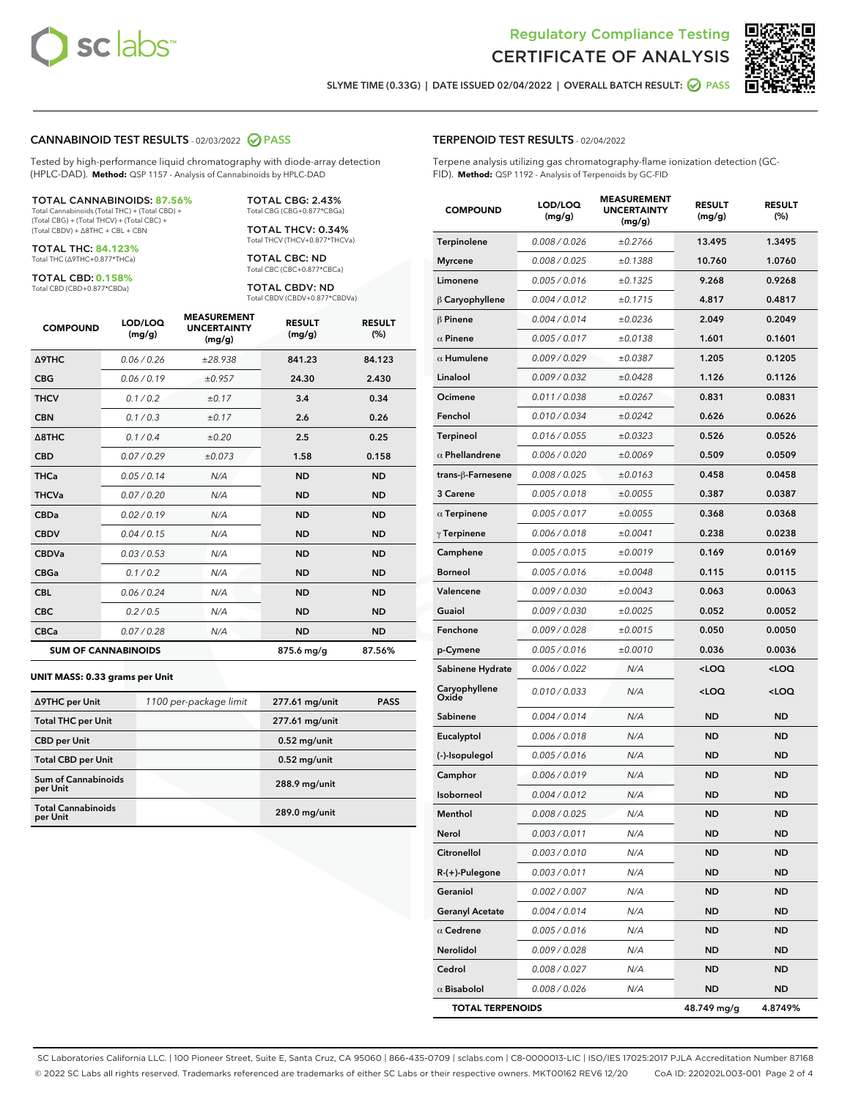



SLYME TIME (0.33G) | DATE ISSUED 02/04/2022 | OVERALL BATCH RESULT: @ PASS

#### CANNABINOID TEST RESULTS - 02/03/2022 2 PASS

Tested by high-performance liquid chromatography with diode-array detection (HPLC-DAD). **Method:** QSP 1157 - Analysis of Cannabinoids by HPLC-DAD

#### TOTAL CANNABINOIDS: **87.56%**

Total Cannabinoids (Total THC) + (Total CBD) + (Total CBG) + (Total THCV) + (Total CBC) + (Total CBDV) + ∆8THC + CBL + CBN

TOTAL THC: **84.123%** Total THC (∆9THC+0.877\*THCa)

TOTAL CBD: **0.158%**

Total CBD (CBD+0.877\*CBDa)

TOTAL CBG: 2.43% Total CBG (CBG+0.877\*CBGa)

TOTAL THCV: 0.34% Total THCV (THCV+0.877\*THCVa)

TOTAL CBC: ND Total CBC (CBC+0.877\*CBCa)

TOTAL CBDV: ND Total CBDV (CBDV+0.877\*CBDVa)

| <b>COMPOUND</b>            | LOD/LOQ<br>(mg/g) | <b>MEASUREMENT</b><br><b>UNCERTAINTY</b><br>(mg/g) | <b>RESULT</b><br>(mg/g) | <b>RESULT</b><br>(%) |
|----------------------------|-------------------|----------------------------------------------------|-------------------------|----------------------|
| <b>A9THC</b>               | 0.06 / 0.26       | ±28.938                                            | 841.23                  | 84.123               |
| <b>CBG</b>                 | 0.06 / 0.19       | ±0.957                                             | 24.30                   | 2.430                |
| <b>THCV</b>                | 0.1 / 0.2         | ±0.17                                              | 3.4                     | 0.34                 |
| <b>CBN</b>                 | 0.1/0.3           | ±0.17                                              | 2.6                     | 0.26                 |
| $\triangle$ 8THC           | 0.1/0.4           | ±0.20                                              | 2.5                     | 0.25                 |
| <b>CBD</b>                 | 0.07/0.29         | ±0.073                                             | 1.58                    | 0.158                |
| <b>THCa</b>                | 0.05/0.14         | N/A                                                | <b>ND</b>               | <b>ND</b>            |
| <b>THCVa</b>               | 0.07/0.20         | N/A                                                | <b>ND</b>               | <b>ND</b>            |
| <b>CBDa</b>                | 0.02/0.19         | N/A                                                | <b>ND</b>               | <b>ND</b>            |
| <b>CBDV</b>                | 0.04 / 0.15       | N/A                                                | <b>ND</b>               | <b>ND</b>            |
| <b>CBDVa</b>               | 0.03/0.53         | N/A                                                | <b>ND</b>               | <b>ND</b>            |
| <b>CBGa</b>                | 0.1/0.2           | N/A                                                | <b>ND</b>               | <b>ND</b>            |
| <b>CBL</b>                 | 0.06 / 0.24       | N/A                                                | <b>ND</b>               | <b>ND</b>            |
| <b>CBC</b>                 | 0.2 / 0.5         | N/A                                                | <b>ND</b>               | <b>ND</b>            |
| <b>CBCa</b>                | 0.07/0.28         | N/A                                                | <b>ND</b>               | <b>ND</b>            |
| <b>SUM OF CANNABINOIDS</b> |                   |                                                    | 875.6 mg/g              | 87.56%               |

#### **UNIT MASS: 0.33 grams per Unit**

| ∆9THC per Unit                         | 1100 per-package limit | 277.61 mg/unit | <b>PASS</b> |
|----------------------------------------|------------------------|----------------|-------------|
| <b>Total THC per Unit</b>              |                        | 277.61 mg/unit |             |
| <b>CBD</b> per Unit                    |                        | $0.52$ mg/unit |             |
| <b>Total CBD per Unit</b>              |                        | $0.52$ mg/unit |             |
| <b>Sum of Cannabinoids</b><br>per Unit |                        | 288.9 mg/unit  |             |
| <b>Total Cannabinoids</b><br>per Unit  |                        | 289.0 mg/unit  |             |

| <b>COMPOUND</b>         | LOD/LOQ<br>(mg/g) | AJUREIVII<br><b>UNCERTAINTY</b><br>(mg/g) | <b>RESULT</b><br>(mg/g)                          | <b>RESULT</b><br>(%) |
|-------------------------|-------------------|-------------------------------------------|--------------------------------------------------|----------------------|
| Terpinolene             | 0.008 / 0.026     | ±0.2766                                   | 13.495                                           | 1.3495               |
| <b>Myrcene</b>          | 0.008 / 0.025     | ±0.1388                                   | 10.760                                           | 1.0760               |
| Limonene                | 0.005 / 0.016     | ±0.1325                                   | 9.268                                            | 0.9268               |
| $\beta$ Caryophyllene   | 0.004 / 0.012     | ±0.1715                                   | 4.817                                            | 0.4817               |
| $\beta$ Pinene          | 0.004 / 0.014     | ±0.0236                                   | 2.049                                            | 0.2049               |
| $\alpha$ Pinene         | 0.005 / 0.017     | ±0.0138                                   | 1.601                                            | 0.1601               |
| $\alpha$ Humulene       | 0.009 / 0.029     | ±0.0387                                   | 1.205                                            | 0.1205               |
| Linalool                | 0.009 / 0.032     | ±0.0428                                   | 1.126                                            | 0.1126               |
| Ocimene                 | 0.011 / 0.038     | ±0.0267                                   | 0.831                                            | 0.0831               |
| Fenchol                 | 0.010 / 0.034     | ±0.0242                                   | 0.626                                            | 0.0626               |
| Terpineol               | 0.016 / 0.055     | ±0.0323                                   | 0.526                                            | 0.0526               |
| $\alpha$ Phellandrene   | 0.006 / 0.020     | ±0.0069                                   | 0.509                                            | 0.0509               |
| trans-ß-Farnesene       | 0.008 / 0.025     | ±0.0163                                   | 0.458                                            | 0.0458               |
| 3 Carene                | 0.005 / 0.018     | ±0.0055                                   | 0.387                                            | 0.0387               |
| $\alpha$ Terpinene      | 0.005 / 0.017     | ±0.0055                                   | 0.368                                            | 0.0368               |
| $\gamma$ Terpinene      | 0.006 / 0.018     | ±0.0041                                   | 0.238                                            | 0.0238               |
| Camphene                | 0.005 / 0.015     | ±0.0019                                   | 0.169                                            | 0.0169               |
| <b>Borneol</b>          | 0.005 / 0.016     | ±0.0048                                   | 0.115                                            | 0.0115               |
| Valencene               | 0.009 / 0.030     | ±0.0043                                   | 0.063                                            | 0.0063               |
| Guaiol                  | 0.009 / 0.030     | ±0.0025                                   | 0.052                                            | 0.0052               |
| Fenchone                | 0.009 / 0.028     | ±0.0015                                   | 0.050                                            | 0.0050               |
| p-Cymene                | 0.005 / 0.016     | ±0.0010                                   | 0.036                                            | 0.0036               |
| Sabinene Hydrate        | 0.006 / 0.022     | N/A                                       | <loq< th=""><th><math>&lt;</math>LOQ</th></loq<> | $<$ LOQ              |
| Caryophyllene<br>Oxide  | 0.010 / 0.033     | N/A                                       | <loq< th=""><th><loq< th=""></loq<></th></loq<>  | <loq< th=""></loq<>  |
| Sabinene                | 0.004 / 0.014     | N/A                                       | ND                                               | <b>ND</b>            |
| Eucalyptol              | 0.006 / 0.018     | N/A                                       | <b>ND</b>                                        | <b>ND</b>            |
| (-)-Isopulegol          | 0.005 / 0.016     | N/A                                       | <b>ND</b>                                        | <b>ND</b>            |
| Camphor                 | 0.006 / 0.019     | N/A                                       | ND                                               | ND                   |
| Isoborneol              | 0.004 / 0.012     | N/A                                       | <b>ND</b>                                        | <b>ND</b>            |
| Menthol                 | 0.008 / 0.025     | N/A                                       | <b>ND</b>                                        | <b>ND</b>            |
| Nerol                   | 0.003 / 0.011     | N/A                                       | ND                                               | ND                   |
| Citronellol             | 0.003 / 0.010     | N/A                                       | ND                                               | ND                   |
| R-(+)-Pulegone          | 0.003 / 0.011     | N/A                                       | <b>ND</b>                                        | ND                   |
| Geraniol                | 0.002 / 0.007     | N/A                                       | <b>ND</b>                                        | ND                   |
| <b>Geranyl Acetate</b>  | 0.004 / 0.014     | N/A                                       | ND                                               | ND                   |
| $\alpha$ Cedrene        | 0.005 / 0.016     | N/A                                       | ND                                               | ND                   |
| Nerolidol               | 0.009 / 0.028     | N/A                                       | <b>ND</b>                                        | ND                   |
| Cedrol                  | 0.008 / 0.027     | N/A                                       | ND                                               | ND                   |
| $\alpha$ Bisabolol      | 0.008 / 0.026     | N/A                                       | ND                                               | ND                   |
| <b>TOTAL TERPENOIDS</b> |                   |                                           | 48.749 mg/g                                      | 4.8749%              |

SC Laboratories California LLC. | 100 Pioneer Street, Suite E, Santa Cruz, CA 95060 | 866-435-0709 | sclabs.com | C8-0000013-LIC | ISO/IES 17025:2017 PJLA Accreditation Number 87168 © 2022 SC Labs all rights reserved. Trademarks referenced are trademarks of either SC Labs or their respective owners. MKT00162 REV6 12/20 CoA ID: 220202L003-001 Page 2 of 4

#### TERPENOID TEST RESULTS - 02/04/2022

Terpene analysis utilizing gas chromatography-flame ionization detection (GC-FID). **Method:** QSP 1192 - Analysis of Terpenoids by GC-FID

MEACUREMENT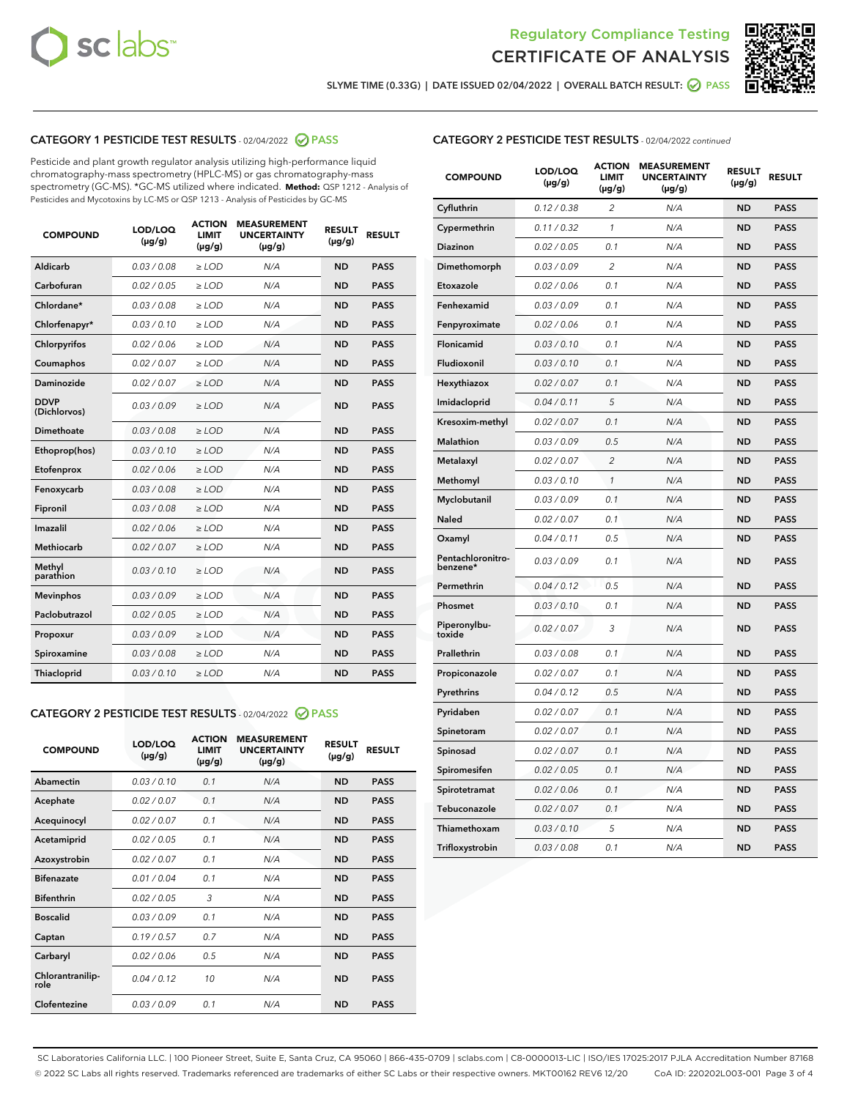



SLYME TIME (0.33G) | DATE ISSUED 02/04/2022 | OVERALL BATCH RESULT:  $\bigcirc$  PASS

#### CATEGORY 1 PESTICIDE TEST RESULTS - 02/04/2022 2 PASS

Pesticide and plant growth regulator analysis utilizing high-performance liquid chromatography-mass spectrometry (HPLC-MS) or gas chromatography-mass spectrometry (GC-MS). \*GC-MS utilized where indicated. **Method:** QSP 1212 - Analysis of Pesticides and Mycotoxins by LC-MS or QSP 1213 - Analysis of Pesticides by GC-MS

| <b>COMPOUND</b>             | LOD/LOQ<br>$(\mu g/g)$ | <b>ACTION</b><br><b>LIMIT</b><br>$(\mu g/g)$ | <b>MEASUREMENT</b><br><b>UNCERTAINTY</b><br>$(\mu g/g)$ | <b>RESULT</b><br>$(\mu g/g)$ | <b>RESULT</b> |
|-----------------------------|------------------------|----------------------------------------------|---------------------------------------------------------|------------------------------|---------------|
| Aldicarb                    | 0.03/0.08              | $>$ LOD                                      | N/A                                                     | <b>ND</b>                    | <b>PASS</b>   |
| Carbofuran                  | 0.02 / 0.05            | $\ge$ LOD                                    | N/A                                                     | <b>ND</b>                    | <b>PASS</b>   |
| Chlordane*                  | 0.03 / 0.08            | $\geq$ LOD                                   | N/A                                                     | <b>ND</b>                    | <b>PASS</b>   |
| Chlorfenapyr*               | 0.03/0.10              | $\ge$ LOD                                    | N/A                                                     | <b>ND</b>                    | <b>PASS</b>   |
| Chlorpyrifos                | 0.02 / 0.06            | $\ge$ LOD                                    | N/A                                                     | <b>ND</b>                    | <b>PASS</b>   |
| Coumaphos                   | 0.02 / 0.07            | $\ge$ LOD                                    | N/A                                                     | <b>ND</b>                    | <b>PASS</b>   |
| Daminozide                  | 0.02/0.07              | $>$ LOD                                      | N/A                                                     | <b>ND</b>                    | <b>PASS</b>   |
| <b>DDVP</b><br>(Dichlorvos) | 0.03/0.09              | $\ge$ LOD                                    | N/A                                                     | <b>ND</b>                    | <b>PASS</b>   |
| <b>Dimethoate</b>           | 0.03/0.08              | $\ge$ LOD                                    | N/A                                                     | <b>ND</b>                    | <b>PASS</b>   |
| Ethoprop(hos)               | 0.03/0.10              | $\ge$ LOD                                    | N/A                                                     | <b>ND</b>                    | <b>PASS</b>   |
| Etofenprox                  | 0.02 / 0.06            | $\ge$ LOD                                    | N/A                                                     | <b>ND</b>                    | <b>PASS</b>   |
| Fenoxycarb                  | 0.03/0.08              | $\ge$ LOD                                    | N/A                                                     | <b>ND</b>                    | <b>PASS</b>   |
| Fipronil                    | 0.03/0.08              | $\ge$ LOD                                    | N/A                                                     | <b>ND</b>                    | <b>PASS</b>   |
| Imazalil                    | 0.02 / 0.06            | $>$ LOD                                      | N/A                                                     | <b>ND</b>                    | <b>PASS</b>   |
| Methiocarb                  | 0.02 / 0.07            | $>$ LOD                                      | N/A                                                     | <b>ND</b>                    | <b>PASS</b>   |
| Methyl<br>parathion         | 0.03/0.10              | $>$ LOD                                      | N/A                                                     | <b>ND</b>                    | <b>PASS</b>   |
| <b>Mevinphos</b>            | 0.03/0.09              | $\ge$ LOD                                    | N/A                                                     | <b>ND</b>                    | <b>PASS</b>   |
| Paclobutrazol               | 0.02 / 0.05            | $>$ LOD                                      | N/A                                                     | <b>ND</b>                    | <b>PASS</b>   |
| Propoxur                    | 0.03/0.09              | $\ge$ LOD                                    | N/A                                                     | <b>ND</b>                    | <b>PASS</b>   |
| Spiroxamine                 | 0.03 / 0.08            | $\ge$ LOD                                    | N/A                                                     | <b>ND</b>                    | <b>PASS</b>   |
| Thiacloprid                 | 0.03/0.10              | $\ge$ LOD                                    | N/A                                                     | <b>ND</b>                    | <b>PASS</b>   |

#### CATEGORY 2 PESTICIDE TEST RESULTS - 02/04/2022 @ PASS

| <b>COMPOUND</b>          | LOD/LOO<br>$(\mu g/g)$ | <b>ACTION</b><br>LIMIT<br>$(\mu g/g)$ | <b>MEASUREMENT</b><br><b>UNCERTAINTY</b><br>$(\mu g/g)$ | <b>RESULT</b><br>$(\mu g/g)$ | <b>RESULT</b> |  |
|--------------------------|------------------------|---------------------------------------|---------------------------------------------------------|------------------------------|---------------|--|
| Abamectin                | 0.03/0.10              | 0.1                                   | N/A                                                     | <b>ND</b>                    | <b>PASS</b>   |  |
| Acephate                 | 0.02/0.07              | 0.1                                   | N/A                                                     | <b>ND</b>                    | <b>PASS</b>   |  |
| Acequinocyl              | 0.02/0.07              | 0.1                                   | N/A                                                     | <b>ND</b>                    | <b>PASS</b>   |  |
| Acetamiprid              | 0.02 / 0.05            | 0.1                                   | N/A                                                     | <b>ND</b>                    | <b>PASS</b>   |  |
| Azoxystrobin             | 0.02/0.07              | 0.1                                   | N/A                                                     | <b>ND</b>                    | <b>PASS</b>   |  |
| <b>Bifenazate</b>        | 0.01 / 0.04            | 0.1                                   | N/A                                                     | <b>ND</b>                    | <b>PASS</b>   |  |
| <b>Bifenthrin</b>        | 0.02 / 0.05            | 3                                     | N/A                                                     | <b>ND</b>                    | <b>PASS</b>   |  |
| <b>Boscalid</b>          | 0.03/0.09              | 0.1                                   | N/A                                                     | <b>ND</b>                    | <b>PASS</b>   |  |
| Captan                   | 0.19/0.57              | 0.7                                   | N/A                                                     | <b>ND</b>                    | <b>PASS</b>   |  |
| Carbaryl                 | 0.02/0.06              | 0.5                                   | N/A                                                     | <b>ND</b>                    | <b>PASS</b>   |  |
| Chlorantranilip-<br>role | 0.04/0.12              | 10                                    | N/A                                                     | <b>ND</b>                    | <b>PASS</b>   |  |
| Clofentezine             | 0.03/0.09              | 0.1                                   | N/A                                                     | <b>ND</b>                    | <b>PASS</b>   |  |

| <b>CATEGORY 2 PESTICIDE TEST RESULTS</b> - 02/04/2022 continued |
|-----------------------------------------------------------------|
|-----------------------------------------------------------------|

| <b>COMPOUND</b>               | LOD/LOQ<br>(µg/g) | <b>ACTION</b><br><b>LIMIT</b><br>$(\mu g/g)$ | <b>MEASUREMENT</b><br><b>UNCERTAINTY</b><br>$(\mu g/g)$ | <b>RESULT</b><br>(µg/g) | <b>RESULT</b> |
|-------------------------------|-------------------|----------------------------------------------|---------------------------------------------------------|-------------------------|---------------|
| Cyfluthrin                    | 0.12 / 0.38       | $\overline{c}$                               | N/A                                                     | <b>ND</b>               | <b>PASS</b>   |
| Cypermethrin                  | 0.11 / 0.32       | 1                                            | N/A                                                     | ND                      | <b>PASS</b>   |
| <b>Diazinon</b>               | 0.02 / 0.05       | 0.1                                          | N/A                                                     | ND                      | <b>PASS</b>   |
| Dimethomorph                  | 0.03 / 0.09       | $\overline{2}$                               | N/A                                                     | ND                      | <b>PASS</b>   |
| Etoxazole                     | 0.02 / 0.06       | 0.1                                          | N/A                                                     | ND                      | <b>PASS</b>   |
| Fenhexamid                    | 0.03 / 0.09       | 0.1                                          | N/A                                                     | ND                      | <b>PASS</b>   |
| Fenpyroximate                 | 0.02 / 0.06       | 0.1                                          | N/A                                                     | <b>ND</b>               | <b>PASS</b>   |
| Flonicamid                    | 0.03 / 0.10       | 0.1                                          | N/A                                                     | <b>ND</b>               | <b>PASS</b>   |
| Fludioxonil                   | 0.03 / 0.10       | 0.1                                          | N/A                                                     | <b>ND</b>               | <b>PASS</b>   |
| Hexythiazox                   | 0.02 / 0.07       | 0.1                                          | N/A                                                     | <b>ND</b>               | <b>PASS</b>   |
| Imidacloprid                  | 0.04 / 0.11       | 5                                            | N/A                                                     | <b>ND</b>               | <b>PASS</b>   |
| Kresoxim-methyl               | 0.02 / 0.07       | 0.1                                          | N/A                                                     | ND                      | <b>PASS</b>   |
| <b>Malathion</b>              | 0.03 / 0.09       | 0.5                                          | N/A                                                     | ND                      | <b>PASS</b>   |
| Metalaxyl                     | 0.02 / 0.07       | $\overline{2}$                               | N/A                                                     | <b>ND</b>               | <b>PASS</b>   |
| Methomyl                      | 0.03 / 0.10       | $\mathbf{1}$                                 | N/A                                                     | <b>ND</b>               | <b>PASS</b>   |
| Myclobutanil                  | 0.03 / 0.09       | 0.1                                          | N/A                                                     | ND                      | <b>PASS</b>   |
| <b>Naled</b>                  | 0.02 / 0.07       | 0.1                                          | N/A                                                     | <b>ND</b>               | <b>PASS</b>   |
| Oxamyl                        | 0.04 / 0.11       | 0.5                                          | N/A                                                     | <b>ND</b>               | <b>PASS</b>   |
| Pentachloronitro-<br>benzene* | 0.03 / 0.09       | 0.1                                          | N/A                                                     | <b>ND</b>               | <b>PASS</b>   |
| Permethrin                    | 0.04 / 0.12       | 0.5                                          | N/A                                                     | ND                      | <b>PASS</b>   |
| Phosmet                       | 0.03 / 0.10       | 0.1                                          | N/A                                                     | <b>ND</b>               | <b>PASS</b>   |
| Piperonylbu-<br>toxide        | 0.02 / 0.07       | 3                                            | N/A                                                     | ND                      | <b>PASS</b>   |
| Prallethrin                   | 0.03 / 0.08       | 0.1                                          | N/A                                                     | ND                      | <b>PASS</b>   |
| Propiconazole                 | 0.02 / 0.07       | 0.1                                          | N/A                                                     | ND                      | <b>PASS</b>   |
| Pyrethrins                    | 0.04 / 0.12       | 0.5                                          | N/A                                                     | ND                      | <b>PASS</b>   |
| Pyridaben                     | 0.02 / 0.07       | 0.1                                          | N/A                                                     | <b>ND</b>               | <b>PASS</b>   |
| Spinetoram                    | 0.02 / 0.07       | 0.1                                          | N/A                                                     | ND                      | <b>PASS</b>   |
| Spinosad                      | 0.02 / 0.07       | 0.1                                          | N/A                                                     | ND                      | <b>PASS</b>   |
| Spiromesifen                  | 0.02 / 0.05       | 0.1                                          | N/A                                                     | ND                      | <b>PASS</b>   |
| Spirotetramat                 | 0.02 / 0.06       | 0.1                                          | N/A                                                     | ND                      | <b>PASS</b>   |
| Tebuconazole                  | 0.02 / 0.07       | 0.1                                          | N/A                                                     | ND                      | <b>PASS</b>   |
| Thiamethoxam                  | 0.03 / 0.10       | 5                                            | N/A                                                     | ND                      | <b>PASS</b>   |
| Trifloxystrobin               | 0.03 / 0.08       | 0.1                                          | N/A                                                     | <b>ND</b>               | <b>PASS</b>   |

SC Laboratories California LLC. | 100 Pioneer Street, Suite E, Santa Cruz, CA 95060 | 866-435-0709 | sclabs.com | C8-0000013-LIC | ISO/IES 17025:2017 PJLA Accreditation Number 87168 © 2022 SC Labs all rights reserved. Trademarks referenced are trademarks of either SC Labs or their respective owners. MKT00162 REV6 12/20 CoA ID: 220202L003-001 Page 3 of 4